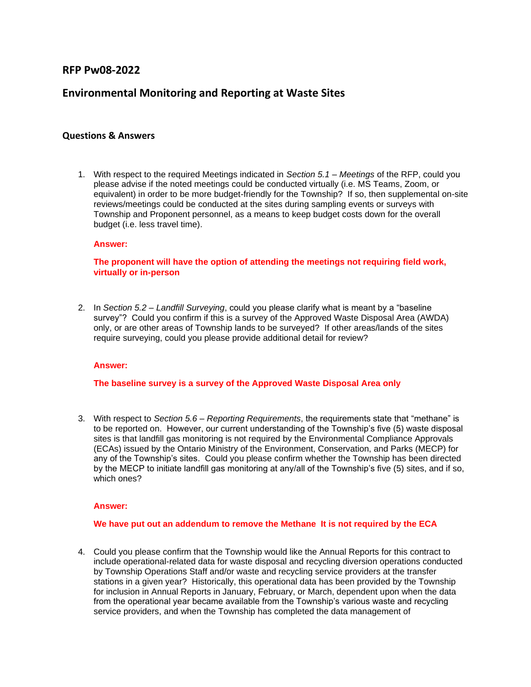## **RFP Pw08-2022**

# **Environmental Monitoring and Reporting at Waste Sites**

## **Questions & Answers**

1. With respect to the required Meetings indicated in *Section 5.1 – Meetings* of the RFP, could you please advise if the noted meetings could be conducted virtually (i.e. MS Teams, Zoom, or equivalent) in order to be more budget-friendly for the Township? If so, then supplemental on-site reviews/meetings could be conducted at the sites during sampling events or surveys with Township and Proponent personnel, as a means to keep budget costs down for the overall budget (i.e. less travel time).

#### **Answer:**

**The proponent will have the option of attending the meetings not requiring field work, virtually or in-person**

2. In *Section 5.2 – Landfill Surveying*, could you please clarify what is meant by a "baseline survey"? Could you confirm if this is a survey of the Approved Waste Disposal Area (AWDA) only, or are other areas of Township lands to be surveyed? If other areas/lands of the sites require surveying, could you please provide additional detail for review?

## **Answer:**

## **The baseline survey is a survey of the Approved Waste Disposal Area only**

3. With respect to *Section 5.6 – Reporting Requirements*, the requirements state that "methane" is to be reported on. However, our current understanding of the Township's five (5) waste disposal sites is that landfill gas monitoring is not required by the Environmental Compliance Approvals (ECAs) issued by the Ontario Ministry of the Environment, Conservation, and Parks (MECP) for any of the Township's sites. Could you please confirm whether the Township has been directed by the MECP to initiate landfill gas monitoring at any/all of the Township's five (5) sites, and if so, which ones?

#### **Answer:**

#### **We have put out an addendum to remove the Methane It is not required by the ECA**

4. Could you please confirm that the Township would like the Annual Reports for this contract to include operational-related data for waste disposal and recycling diversion operations conducted by Township Operations Staff and/or waste and recycling service providers at the transfer stations in a given year? Historically, this operational data has been provided by the Township for inclusion in Annual Reports in January, February, or March, dependent upon when the data from the operational year became available from the Township's various waste and recycling service providers, and when the Township has completed the data management of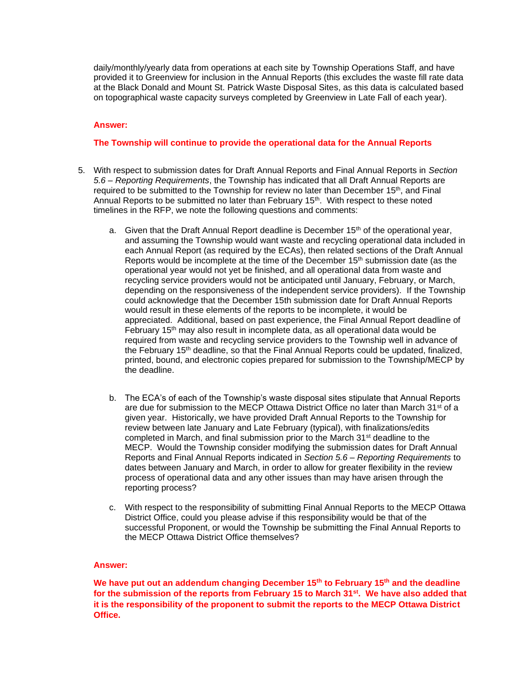daily/monthly/yearly data from operations at each site by Township Operations Staff, and have provided it to Greenview for inclusion in the Annual Reports (this excludes the waste fill rate data at the Black Donald and Mount St. Patrick Waste Disposal Sites, as this data is calculated based on topographical waste capacity surveys completed by Greenview in Late Fall of each year).

### **Answer:**

## **The Township will continue to provide the operational data for the Annual Reports**

- 5. With respect to submission dates for Draft Annual Reports and Final Annual Reports in *Section 5.6 – Reporting Requirements*, the Township has indicated that all Draft Annual Reports are required to be submitted to the Township for review no later than December 15<sup>th</sup>, and Final Annual Reports to be submitted no later than February 15<sup>th</sup>. With respect to these noted timelines in the RFP, we note the following questions and comments:
	- a. Given that the Draft Annual Report deadline is December  $15<sup>th</sup>$  of the operational year, and assuming the Township would want waste and recycling operational data included in each Annual Report (as required by the ECAs), then related sections of the Draft Annual Reports would be incomplete at the time of the December 15th submission date (as the operational year would not yet be finished, and all operational data from waste and recycling service providers would not be anticipated until January, February, or March, depending on the responsiveness of the independent service providers). If the Township could acknowledge that the December 15th submission date for Draft Annual Reports would result in these elements of the reports to be incomplete, it would be appreciated. Additional, based on past experience, the Final Annual Report deadline of February  $15<sup>th</sup>$  may also result in incomplete data, as all operational data would be required from waste and recycling service providers to the Township well in advance of the February 15th deadline, so that the Final Annual Reports could be updated, finalized, printed, bound, and electronic copies prepared for submission to the Township/MECP by the deadline.
	- b. The ECA's of each of the Township's waste disposal sites stipulate that Annual Reports are due for submission to the MECP Ottawa District Office no later than March 31<sup>st</sup> of a given year. Historically, we have provided Draft Annual Reports to the Township for review between late January and Late February (typical), with finalizations/edits completed in March, and final submission prior to the March  $31<sup>st</sup>$  deadline to the MECP. Would the Township consider modifying the submission dates for Draft Annual Reports and Final Annual Reports indicated in *Section 5.6 – Reporting Requirements* to dates between January and March, in order to allow for greater flexibility in the review process of operational data and any other issues than may have arisen through the reporting process?
	- c. With respect to the responsibility of submitting Final Annual Reports to the MECP Ottawa District Office, could you please advise if this responsibility would be that of the successful Proponent, or would the Township be submitting the Final Annual Reports to the MECP Ottawa District Office themselves?

#### **Answer:**

**We have put out an addendum changing December 15th to February 15th and the deadline for the submission of the reports from February 15 to March 31st. We have also added that it is the responsibility of the proponent to submit the reports to the MECP Ottawa District Office.**